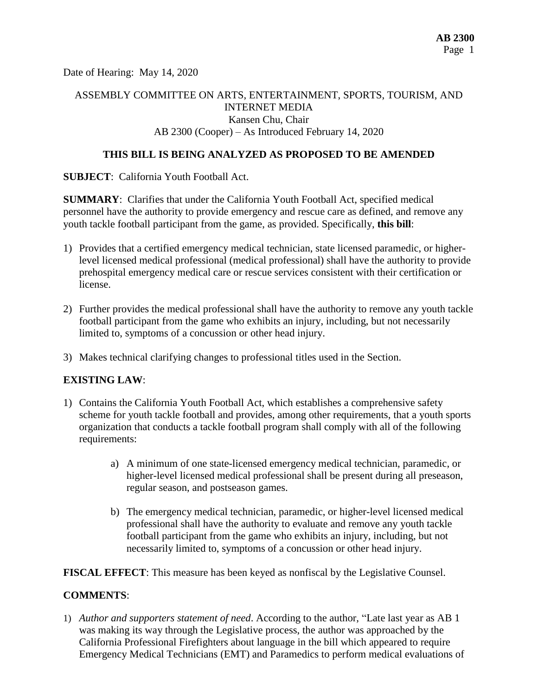Date of Hearing: May 14, 2020

## ASSEMBLY COMMITTEE ON ARTS, ENTERTAINMENT, SPORTS, TOURISM, AND INTERNET MEDIA Kansen Chu, Chair AB 2300 (Cooper) – As Introduced February 14, 2020

## **THIS BILL IS BEING ANALYZED AS PROPOSED TO BE AMENDED**

**SUBJECT**: California Youth Football Act.

**SUMMARY**: Clarifies that under the California Youth Football Act, specified medical personnel have the authority to provide emergency and rescue care as defined, and remove any youth tackle football participant from the game, as provided. Specifically, **this bill**:

- 1) Provides that a certified emergency medical technician, state licensed paramedic, or higherlevel licensed medical professional (medical professional) shall have the authority to provide prehospital emergency medical care or rescue services consistent with their certification or license.
- 2) Further provides the medical professional shall have the authority to remove any youth tackle football participant from the game who exhibits an injury, including, but not necessarily limited to, symptoms of a concussion or other head injury.
- 3) Makes technical clarifying changes to professional titles used in the Section.

#### **EXISTING LAW**:

- 1) Contains the California Youth Football Act, which establishes a comprehensive safety scheme for youth tackle football and provides, among other requirements, that a youth sports organization that conducts a tackle football program shall comply with all of the following requirements:
	- a) A minimum of one state-licensed emergency medical technician, paramedic, or higher-level licensed medical professional shall be present during all preseason, regular season, and postseason games.
	- b) The emergency medical technician, paramedic, or higher-level licensed medical professional shall have the authority to evaluate and remove any youth tackle football participant from the game who exhibits an injury, including, but not necessarily limited to, symptoms of a concussion or other head injury.

**FISCAL EFFECT**: This measure has been keyed as nonfiscal by the Legislative Counsel.

#### **COMMENTS**:

1) *Author and supporters statement of need*. According to the author, "Late last year as AB 1 was making its way through the Legislative process, the author was approached by the California Professional Firefighters about language in the bill which appeared to require Emergency Medical Technicians (EMT) and Paramedics to perform medical evaluations of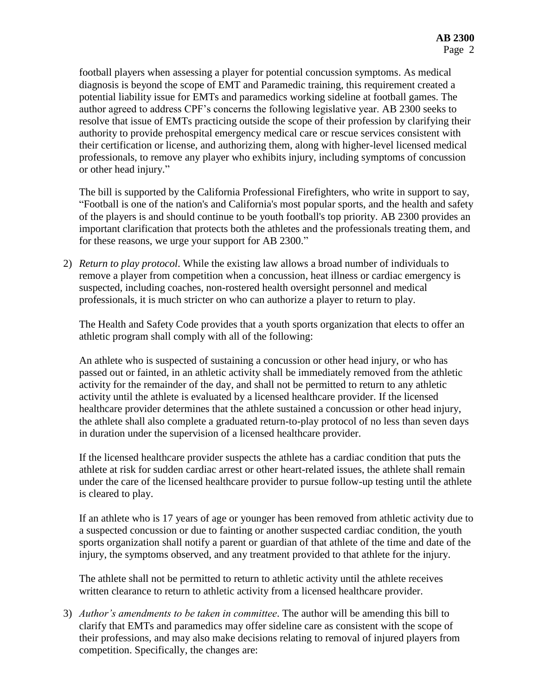football players when assessing a player for potential concussion symptoms. As medical diagnosis is beyond the scope of EMT and Paramedic training, this requirement created a potential liability issue for EMTs and paramedics working sideline at football games. The author agreed to address CPF's concerns the following legislative year. AB 2300 seeks to resolve that issue of EMTs practicing outside the scope of their profession by clarifying their authority to provide prehospital emergency medical care or rescue services consistent with their certification or license, and authorizing them, along with higher-level licensed medical professionals, to remove any player who exhibits injury, including symptoms of concussion or other head injury."

The bill is supported by the California Professional Firefighters, who write in support to say, "Football is one of the nation's and California's most popular sports, and the health and safety of the players is and should continue to be youth football's top priority. AB 2300 provides an important clarification that protects both the athletes and the professionals treating them, and for these reasons, we urge your support for AB 2300."

2) *Return to play protocol*. While the existing law allows a broad number of individuals to remove a player from competition when a concussion, heat illness or cardiac emergency is suspected, including coaches, non-rostered health oversight personnel and medical professionals, it is much stricter on who can authorize a player to return to play.

The Health and Safety Code provides that a youth sports organization that elects to offer an athletic program shall comply with all of the following:

An athlete who is suspected of sustaining a concussion or other head injury, or who has passed out or fainted, in an athletic activity shall be immediately removed from the athletic activity for the remainder of the day, and shall not be permitted to return to any athletic activity until the athlete is evaluated by a licensed healthcare provider. If the licensed healthcare provider determines that the athlete sustained a concussion or other head injury, the athlete shall also complete a graduated return-to-play protocol of no less than seven days in duration under the supervision of a licensed healthcare provider.

If the licensed healthcare provider suspects the athlete has a cardiac condition that puts the athlete at risk for sudden cardiac arrest or other heart-related issues, the athlete shall remain under the care of the licensed healthcare provider to pursue follow-up testing until the athlete is cleared to play.

If an athlete who is 17 years of age or younger has been removed from athletic activity due to a suspected concussion or due to fainting or another suspected cardiac condition, the youth sports organization shall notify a parent or guardian of that athlete of the time and date of the injury, the symptoms observed, and any treatment provided to that athlete for the injury.

The athlete shall not be permitted to return to athletic activity until the athlete receives written clearance to return to athletic activity from a licensed healthcare provider.

3) *Author's amendments to be taken in committee*. The author will be amending this bill to clarify that EMTs and paramedics may offer sideline care as consistent with the scope of their professions, and may also make decisions relating to removal of injured players from competition. Specifically, the changes are: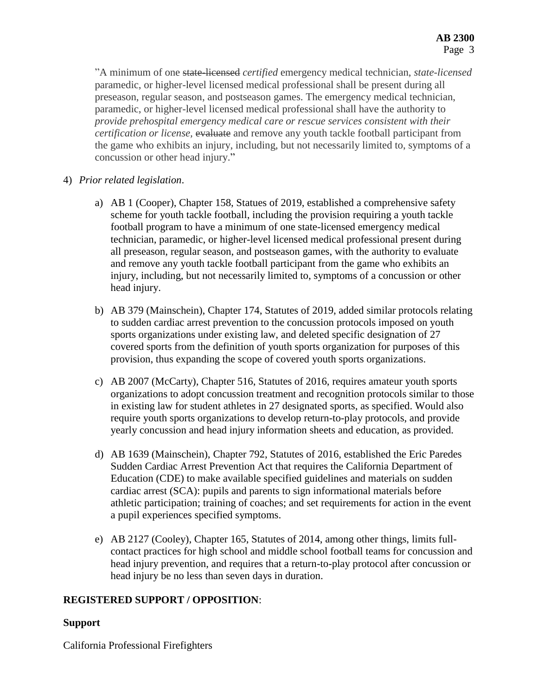"A minimum of one state-licensed *certified* emergency medical technician, *state-licensed* paramedic, or higher-level licensed medical professional shall be present during all preseason, regular season, and postseason games. The emergency medical technician, paramedic, or higher-level licensed medical professional shall have the authority to *provide prehospital emergency medical care or rescue services consistent with their certification or license,* evaluate and remove any youth tackle football participant from the game who exhibits an injury, including, but not necessarily limited to, symptoms of a concussion or other head injury."

- 4) *Prior related legislation*.
	- a) AB 1 (Cooper), Chapter 158, Statues of 2019, established a comprehensive safety scheme for youth tackle football, including the provision requiring a youth tackle football program to have a minimum of one state-licensed emergency medical technician, paramedic, or higher-level licensed medical professional present during all preseason, regular season, and postseason games, with the authority to evaluate and remove any youth tackle football participant from the game who exhibits an injury, including, but not necessarily limited to, symptoms of a concussion or other head injury.
	- b) AB 379 (Mainschein), Chapter 174, Statutes of 2019, added similar protocols relating to sudden cardiac arrest prevention to the concussion protocols imposed on youth sports organizations under existing law, and deleted specific designation of 27 covered sports from the definition of youth sports organization for purposes of this provision, thus expanding the scope of covered youth sports organizations.
	- c) AB 2007 (McCarty), Chapter 516, Statutes of 2016, requires amateur youth sports organizations to adopt concussion treatment and recognition protocols similar to those in existing law for student athletes in 27 designated sports, as specified. Would also require youth sports organizations to develop return-to-play protocols, and provide yearly concussion and head injury information sheets and education, as provided.
	- d) AB 1639 (Mainschein), Chapter 792, Statutes of 2016, established the Eric Paredes Sudden Cardiac Arrest Prevention Act that requires the California Department of Education (CDE) to make available specified guidelines and materials on sudden cardiac arrest (SCA): pupils and parents to sign informational materials before athletic participation; training of coaches; and set requirements for action in the event a pupil experiences specified symptoms.
	- e) AB 2127 (Cooley), Chapter 165, Statutes of 2014, among other things, limits fullcontact practices for high school and middle school football teams for concussion and head injury prevention, and requires that a return-to-play protocol after concussion or head injury be no less than seven days in duration.

## **REGISTERED SUPPORT / OPPOSITION**:

## **Support**

California Professional Firefighters